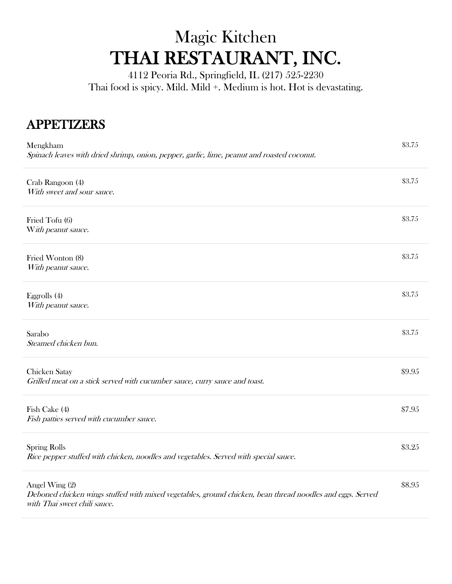# Magic Kitchen THAI RESTAURANT, INC. 4112 Peoria Rd., Springfield, IL (217) 525-2230

Thai food is spicy. Mild. Mild +. Medium is hot. Hot is devastating.

#### APPETIZERS

| Mengkham<br>Spinach leaves with dried shrimp, onion, pepper, garlic, lime, peanut and roasted coconut.                                                      | \$3.75 |
|-------------------------------------------------------------------------------------------------------------------------------------------------------------|--------|
| Crab Rangoon (4)<br>With sweet and sour sauce.                                                                                                              | \$3.75 |
| Fried Tofu (6)<br>With peanut sauce.                                                                                                                        | \$3.75 |
| Fried Wonton (8)<br>With peanut sauce.                                                                                                                      | \$3.75 |
| Eggrolls $(4)$<br>With peanut sauce.                                                                                                                        | \$3.75 |
| Sarabo<br>Steamed chicken bun.                                                                                                                              | \$3.75 |
| <b>Chicken Satay</b><br>Grilled meat on a stick served with cucumber sauce, curry sauce and toast.                                                          | \$9.95 |
| Fish Cake (4)<br>Fish patties served with cucumber sauce.                                                                                                   | \$7.95 |
| <b>Spring Rolls</b><br>Rice pepper stuffed with chicken, noodles and vegetables. Served with special sauce.                                                 | \$3.25 |
| Angel Wing (2)<br>Deboned chicken wings stuffed with mixed vegetables, ground chicken, bean thread noodles and eggs. Served<br>with Thai sweet chili sauce. | \$8.95 |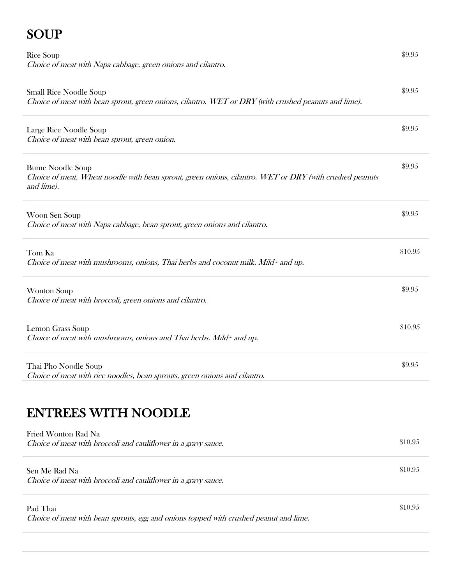# SOUP

| Rice Soup                                                    |  |  |
|--------------------------------------------------------------|--|--|
| Choice of meat with Napa cabbage, green onions and cilantro. |  |  |

| <b>Small Rice Noodle Soup</b><br>Choice of meat with bean sprout, green onions, cilantro. WET or DRY (with crushed peanuts and lime).            | \$9.95  |
|--------------------------------------------------------------------------------------------------------------------------------------------------|---------|
| Large Rice Noodle Soup<br>Choice of meat with bean sprout, green onion.                                                                          | \$9.95  |
| <b>Bume Noodle Soup</b><br>Choice of meat, Wheat noodle with bean sprout, green onions, cilantro. WET or DRY (with crushed peanuts<br>and lime). | \$9.95  |
| Woon Sen Soup<br>Choice of meat with Napa cabbage, bean sprout, green onions and cilantro.                                                       | \$9.95  |
| Tom Ka<br>Choice of meat with mushrooms, onions, Thai herbs and coconut milk. Mild+ and up.                                                      | \$10.95 |
| <b>Wonton Soup</b><br>Choice of meat with broccoli, green onions and cilantro.                                                                   | \$9.95  |
| Lemon Grass Soup<br>Choice of meat with mushrooms, onions and Thai herbs. Mild+ and up.                                                          | \$10.95 |
| Thai Pho Noodle Soup<br>Choice of meat with rice noodles, bean sprouts, green onions and cilantro.                                               | \$9.95  |

\$9.95

### ENTREES WITH NOODLE

| Fried Wonton Rad Na<br>Choice of meat with broccoli and cauliflower in a gravy sauce.             | \$10.95 |
|---------------------------------------------------------------------------------------------------|---------|
| Sen Me Rad Na<br>Choice of meat with broccoli and cauliflower in a gravy sauce.                   | \$10.95 |
| Pad Thai<br>Choice of meat with bean sprouts, egg and onions topped with crushed peanut and lime. | \$10.95 |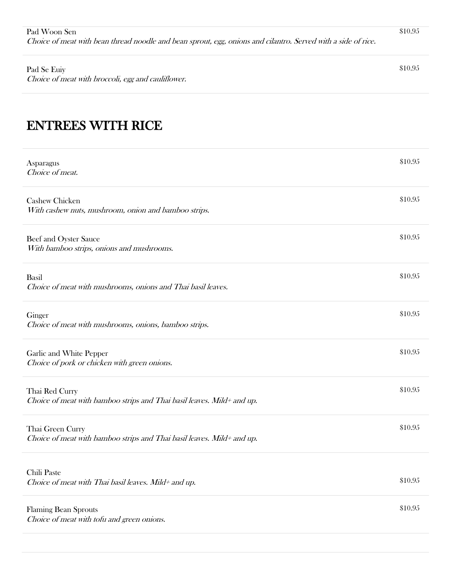| Pad Woon Sen                                                                                                  |  |
|---------------------------------------------------------------------------------------------------------------|--|
| Choice of meat with bean thread noodle and bean sprout, egg, onions and cilantro. Served with a side of rice. |  |

Pad Se Euiy

Choice of meat with broccoli, egg and cauliflower.

## ENTREES WITH RICE

| Asparagus<br>Choice of meat.                                                               | \$10.95 |
|--------------------------------------------------------------------------------------------|---------|
| <b>Cashew Chicken</b><br>With cashew nuts, mushroom, onion and bamboo strips.              | \$10.95 |
| Beef and Oyster Sauce<br>With bamboo strips, onions and mushrooms.                         | \$10.95 |
| Basil<br>Choice of meat with mushrooms, onions and Thai basil leaves.                      | \$10.95 |
| Ginger<br>Choice of meat with mushrooms, onions, bamboo strips.                            | \$10.95 |
| Garlic and White Pepper<br>Choice of pork or chicken with green onions.                    | \$10.95 |
| Thai Red Curry<br>Choice of meat with bamboo strips and Thai basil leaves. Mild+ and up.   | \$10.95 |
| Thai Green Curry<br>Choice of meat with bamboo strips and Thai basil leaves. Mild+ and up. | \$10.95 |
| Chili Paste<br>Choice of meat with Thai basil leaves. Mild+ and up.                        | \$10.95 |
| <b>Flaming Bean Sprouts</b><br>Choice of meat with tofu and green onions.                  | \$10.95 |

\$10.95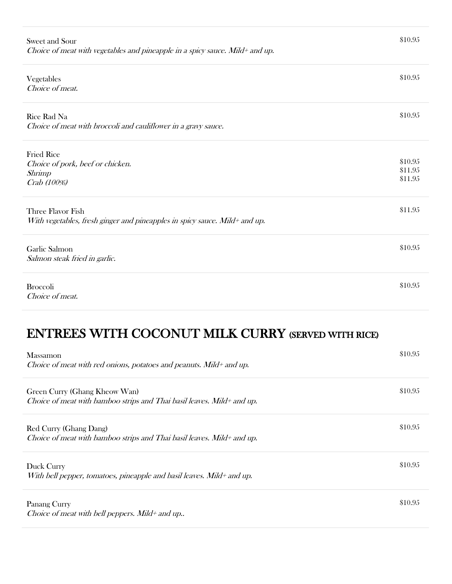| Sweet and Sour<br>Choice of meat with vegetables and pineapple in a spicy sauce. Mild+ and up.  | \$10.95                       |
|-------------------------------------------------------------------------------------------------|-------------------------------|
| Vegetables<br>Choice of meat.                                                                   | \$10.95                       |
| Rice Rad Na<br>Choice of meat with broccoli and cauliflower in a gravy sauce.                   | \$10.95                       |
| <b>Fried Rice</b><br>Choice of pork, beef or chicken.<br><b>Shrimp</b><br>Crab (100%)           | \$10.95<br>\$11.95<br>\$11.95 |
| Three Flavor Fish<br>With vegetables, fresh ginger and pineapples in spicy sauce. Mild+ and up. | \$11.95                       |
| Garlic Salmon<br>Salmon steak fried in garlic.                                                  | \$10.95                       |
| <b>Broccoli</b><br>Choice of meat.                                                              | \$10.95                       |

#### ENTREES WITH COCONUT MILK CURRY (SERVED WITH RICE)

| Massamon<br>Choice of meat with red onions, potatoes and peanuts. Mild+ and up.                         | \$10.95 |
|---------------------------------------------------------------------------------------------------------|---------|
| Green Curry (Ghang Kheow Wan)<br>Choice of meat with bamboo strips and Thai basil leaves. Mild+ and up. | \$10.95 |
| Red Curry (Ghang Dang)<br>Choice of meat with bamboo strips and Thai basil leaves. Mild+ and up.        | \$10.95 |
| Duck Curry<br>With bell pepper, tomatoes, pineapple and basil leaves. Mild+ and up.                     | \$10.95 |
| Panang Curry<br>Choice of meat with bell peppers. Mild+ and up                                          | \$10.95 |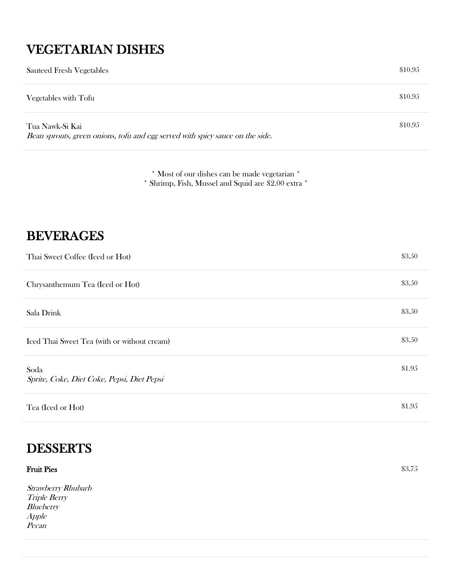# VEGETARIAN DISHES

| <b>Sauteed Fresh Vegetables</b>                                                                  | \$10.95 |
|--------------------------------------------------------------------------------------------------|---------|
| Vegetables with Tofu                                                                             | \$10.95 |
| Tua Nawk-Si Kai<br>Bean sprouts, green onions, tofu and egg served with spicy sauce on the side. | \$10.95 |

\* Most of our dishes can be made vegetarian \* \* Shrimp, Fish, Mussel and Squid are \$2.00 extra \*

### BEVERAGES

| Thai Sweet Coffee (Iced or Hot)                    | \$3.50 |
|----------------------------------------------------|--------|
| Chrysanthemum Tea (Iced or Hot)                    | \$3.50 |
| Sala Drink                                         | \$3.50 |
| Iced Thai Sweet Tea (with or without cream)        | \$3.50 |
| Soda<br>Sprite, Coke, Diet Coke, Pepsi, Diet Pepsi | \$1.95 |
| Tea (Iced or Hot)                                  | \$1.95 |

### **DESSERTS**

| <b>Fruit Pies</b>                                                        | \$3.75 |
|--------------------------------------------------------------------------|--------|
| Strawberry Rhubarb<br><b>Triple Berry</b><br>Blueberry<br>Apple<br>Pecan |        |